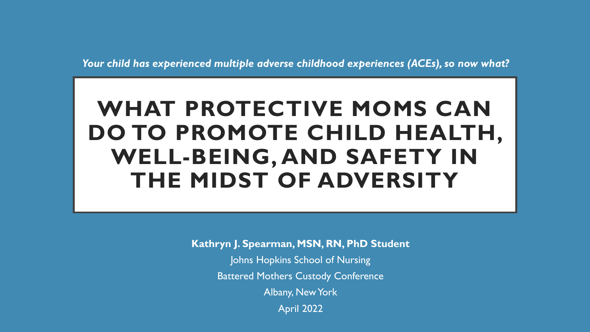*Your child has experienced multiple adverse childhood experiences (ACEs), so now what?*

# **WHAT PROTECTIVE MOMS CAN DO TO PROMOTE CHILD HEALTH, WELL-BEING, AND SAFETY IN THE MIDST OF ADVERSITY**

**Kathryn J. Spearman, MSN, RN, PhD Student** Johns Hopkins School of Nursing Battered Mothers Custody Conference Albany, New York April 2022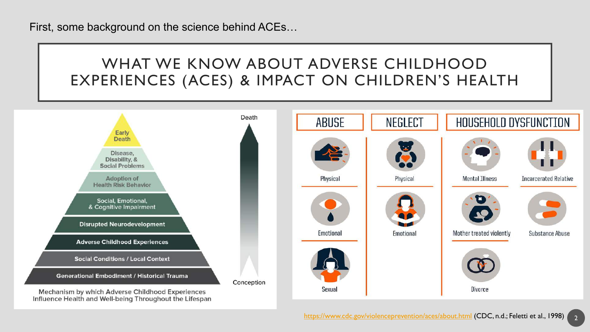First, some background on the science behind ACEs…

## WHAT WE KNOW ABOUT ADVERSE CHILDHOOD EXPERIENCES (ACES) & IMPACT ON CHILDREN'S HEALTH

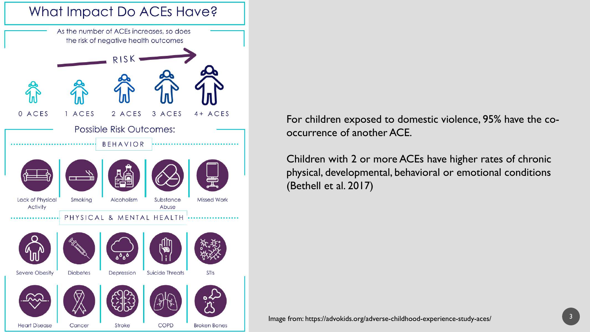

For children exposed to domestic violence, 95% have the cooccurrence of another ACE.

Children with 2 or more ACEs have higher rates of chronic physical, developmental, behavioral or emotional conditions (Bethell et al. 2017)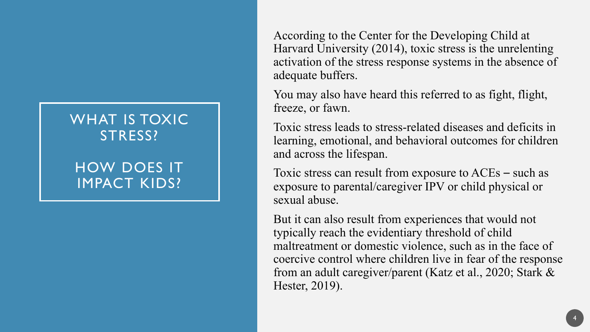### WHAT IS TOXIC STRESS?

### HOW DOES IT IMPACT KIDS?

According to the Center for the Developing Child at Harvard University (2014), toxic stress is the unrelenting activation of the stress response systems in the absence of adequate buffers.

You may also have heard this referred to as fight, flight, freeze, or fawn.

Toxic stress leads to stress-related diseases and deficits in learning, emotional, and behavioral outcomes for children and across the lifespan.

Toxic stress can result from exposure to ACEs – such as exposure to parental/caregiver IPV or child physical or sexual abuse.

But it can also result from experiences that would not typically reach the evidentiary threshold of child maltreatment or domestic violence, such as in the face of coercive control where children live in fear of the response from an adult caregiver/parent (Katz et al., 2020; Stark & Hester, 2019).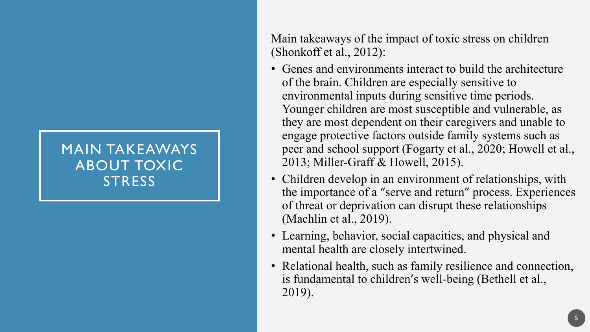### MAIN TAKEAWAYS ABOUT TOXIC **STRESS**

Main takeaways of the impact of toxic stress on children (Shonkoff et al., 2012):

- Genes and environments interact to build the architecture of the brain. Children are especially sensitive to environmental inputs during sensitive time periods. Younger children are most susceptible and vulnerable, as they are most dependent on their caregivers and unable to engage protective factors outside family systems such as peer and school support (Fogarty et al., 2020; Howell et al., 2013; Miller-Graff & Howell, 2015).
- Children develop in an environment of relationships, with the importance of a "serve and return" process. Experiences of threat or deprivation can disrupt these relationships (Machlin et al., 2019).
- Learning, behavior, social capacities, and physical and mental health are closely intertwined.
- Relational health, such as family resilience and connection, is fundamental to children's well-being (Bethell et al., 2019).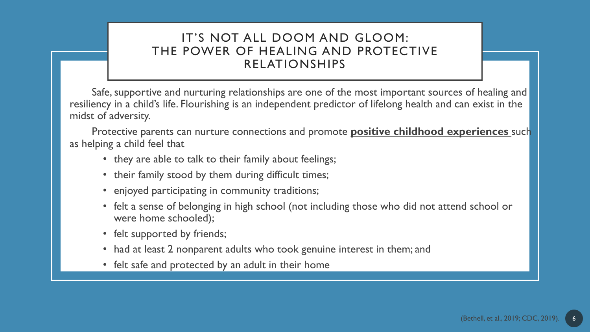#### IT'S NOT ALL DOOM AND GLOOM: THE POWER OF HEALING AND PROTECTIVE RELATIONSHIPS

Safe, supportive and nurturing relationships are one of the most important sources of healing and resiliency in a child's life. Flourishing is an independent predictor of lifelong health and can exist in the midst of adversity.

Protective parents can nurture connections and promote **positive childhood experiences** such as helping a child feel that

- they are able to talk to their family about feelings;
- their family stood by them during difficult times;
- enjoyed participating in community traditions;
- felt a sense of belonging in high school (not including those who did not attend school or were home schooled);
- felt supported by friends;
- had at least 2 nonparent adults who took genuine interest in them; and
- felt safe and protected by an adult in their home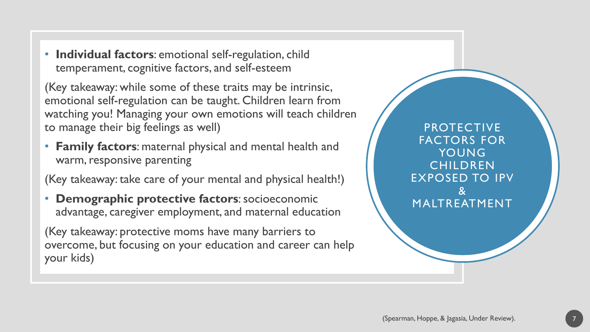• **Individual factors**: emotional self-regulation, child temperament, cognitive factors, and self-esteem

(Key takeaway: while some of these traits may be intrinsic, emotional self-regulation can be taught. Children learn from watching you! Managing your own emotions will teach children to manage their big feelings as well)

• **Family factors**: maternal physical and mental health and warm, responsive parenting

(Key takeaway: take care of your mental and physical health!)

• **Demographic protective factors**: socioeconomic advantage, caregiver employment, and maternal education

(Key takeaway: protective moms have many barriers to overcome, but focusing on your education and career can help your kids)

PROTECTIVE FACTORS FOR YOUNG **CHILDREN** EXPOSED TO IPV & MALTREATMENT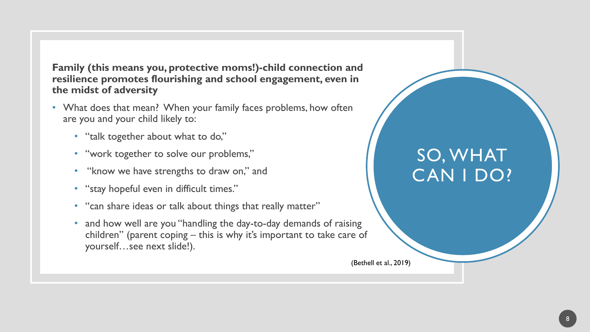**Family (this means you, protective moms!)-child connection and resilience promotes flourishing and school engagement, even in the midst of adversity**

- What does that mean? When your family faces problems, how often are you and your child likely to:
	- "talk together about what to do,"
	- "work together to solve our problems,"
	- "know we have strengths to draw on," and
	- "stay hopeful even in difficult times."
	- "can share ideas or talk about things that really matter"
	- and how well are you "handling the day-to-day demands of raising children" (parent coping – this is why it's important to take care of yourself…see next slide!).

# SO, WHAT CAN I DO?

(Bethell et al., 2019)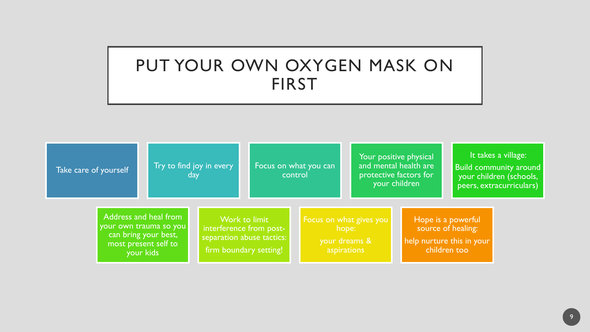## PUT YOUR OWN OXYGEN MASK ON FIRST

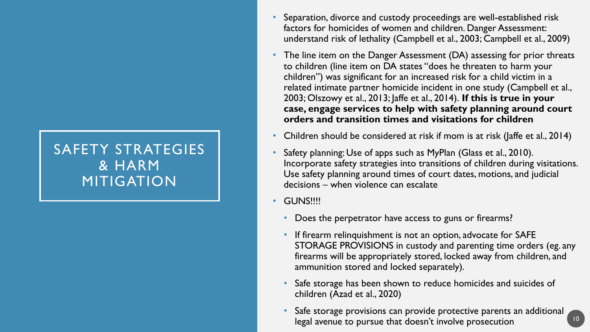### SAFETY STRATEGIES & HARM MITIGATION

- Separation, divorce and custody proceedings are well-established risk factors for homicides of women and children. Danger Assessment: understand risk of lethality (Campbell et al., 2003; Campbell et al., 2009)
- The line item on the Danger Assessment (DA) assessing for prior threats to children (line item on DA states "does he threaten to harm your children") was significant for an increased risk for a child victim in a related intimate partner homicide incident in one study (Campbell et al., 2003; Olszowy et al., 2013; Jaffe et al., 2014). **If this is true in your case, engage services to help with safety planning around court orders and transition times and visitations for children**
- Children should be considered at risk if mom is at risk (Jaffe et al., 2014)
- Safety planning: Use of apps such as MyPlan (Glass et al., 2010). Incorporate safety strategies into transitions of children during visitations. Use safety planning around times of court dates, motions, and judicial decisions – when violence can escalate
- GUNS!!!!
	- Does the perpetrator have access to guns or firearms?
	- If firearm relinquishment is not an option, advocate for SAFE STORAGE PROVISIONS in custody and parenting time orders (eg. any firearms will be appropriately stored, locked away from children, and ammunition stored and locked separately).
	- Safe storage has been shown to reduce homicides and suicides of children (Azad et al., 2020)
	- Safe storage provisions can provide protective parents an additional legal avenue to pursue that doesn't involve prosecution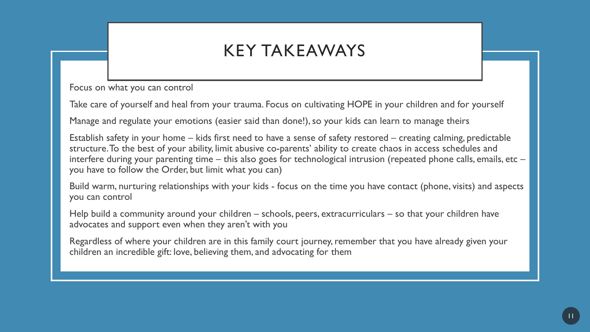## KEY TAKEAWAYS

Focus on what you can control

Take care of yourself and heal from your trauma. Focus on cultivating HOPE in your children and for yourself

Manage and regulate your emotions (easier said than done!), so your kids can learn to manage theirs

Establish safety in your home – kids first need to have a sense of safety restored – creating calming, predictable structure. To the best of your ability, limit abusive co-parents' ability to create chaos in access schedules and interfere during your parenting time – this also goes for technological intrusion (repeated phone calls, emails, etc – you have to follow the Order, but limit what you can)

Build warm, nurturing relationships with your kids - focus on the time you have contact (phone, visits) and aspects you can control

Help build a community around your children – schools, peers, extracurriculars – so that your children have advocates and support even when they aren't with you

Regardless of where your children are in this family court journey, remember that you have already given your children an incredible gift: love, believing them, and advocating for them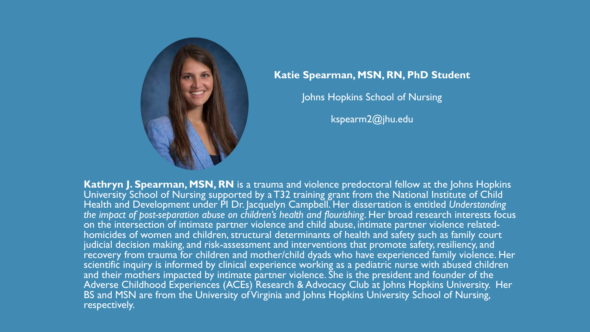

#### **Katie Spearman, MSN, RN, PhD Student**

Johns Hopkins School of Nursing

kspearm2@jhu.edu

**Kathryn J. Spearman, MSN, RN** is a trauma and violence predoctoral fellow at the Johns Hopkins University School of Nursing supported by a T32 training grant from the National Institute of Child Health and Development under PI Dr. Jacquelyn Campbell. Her dissertation is entitled *Understanding the impact of post-separation abuse on children's health and flourishing*. Her broad research interests focus on the intersection of intimate partner violence and child abuse, intimate partner violence related-<br>homicides of women and children, structural determinants of health and safety such as family court judicial decision making, and risk-assessment and interventions that promote safety, resiliency, and recovery from trauma for children and mother/child dyads who have experienced family violence. Her scientific inquiry is informed by clinical experience working as a pediatric nurse with abused children and their mothers impacted by intimate partner violence. She is the president and founder of the Adverse Childhood Experiences (ACEs) Research & Advocacy Club at Johns Hopkins University. Her BS and MSN are from the University of Virginia and Johns Hopkins University School of Nursing, respectively.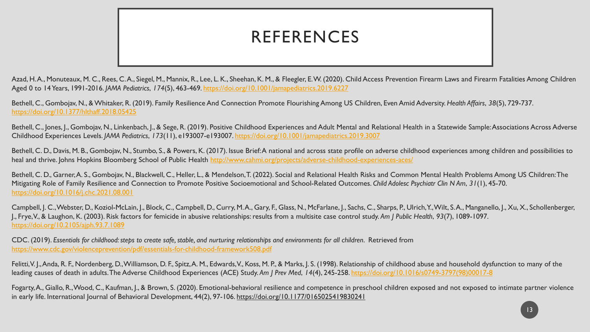## REFERENCES

Azad, H.A., Monuteaux, M. C., Rees, C.A., Siegel, M., Mannix, R., Lee, L. K., Sheehan, K. M., & Fleegler, E.W. (2020). Child Access Prevention Firearm Laws and Firearm Fatalities Among Children Aged 0 to 14 Years, 1991-2016. *JAMA Pediatrics*, *174*(5), 463-469. <https://doi.org/10.1001/jamapediatrics.2019.6227>

Bethell, C., Gombojav, N., & Whitaker, R. (2019). Family Resilience And Connection Promote Flourishing Among US Children, Even Amid Adversity. *Health Affairs*, *38*(5), 729-737. <https://doi.org/10.1377/hlthaff.2018.05425>

Bethell, C., Jones, J., Gombojav, N., Linkenbach, J., & Sege, R. (2019). Positive Childhood Experiences and Adult Mental and Relational Health in a Statewide Sample: Associations Across Adverse Childhood Experiences Levels. *JAMA Pediatrics*, *173*(11), e193007-e193007.<https://doi.org/10.1001/jamapediatrics.2019.3007>

Bethell, C. D., Davis, M. B., Gombojav, N., Stumbo, S., & Powers, K. (2017). Issue Brief: A national and across state profile on adverse childhood experiences among children and possibilities to heal and thrive. Johns Hopkins Bloomberg School of Public Health<http://www.cahmi.org/projects/adverse-childhood-experiences-aces/>

Bethell, C. D., Garner, A. S., Gombojav, N., Blackwell, C., Heller, L., & Mendelson, T. (2022). Social and Relational Health Risks and Common Mental Health Problems Among US Children: The Mitigating Role of Family Resilience and Connection to Promote Positive Socioemotional and School-Related Outcomes. *Child Adolesc Psychiatr Clin N Am*, *31*(1), 45-70. <https://doi.org/10.1016/j.chc.2021.08.001>

Campbell, J. C., Webster, D., Koziol-McLain, J., Block, C., Campbell, D., Curry, M. A., Gary, F., Glass, N., McFarlane, J., Sachs, C., Sharps, P., Ulrich, Y., Wilt, S. A., Manganello, J., Xu, X., Schollenberger, J., Frye, V., & Laughon, K. (2003). Risk factors for femicide in abusive relationships: results from a multisite case control study. *Am J Public Health*, *93*(7), 1089-1097. <https://doi.org/10.2105/ajph.93.7.1089>

CDC. (2019). *Essentials for childhood: steps to create safe, stable, and nurturing relationships and environments for all children*. Retrieved from <https://www.cdc.gov/violenceprevention/pdf/essentials-for-childhood-framework508.pdf>

Felitti, V. J., Anda, R. F., Nordenberg, D., Williamson, D. F., Spitz, A. M., Edwards, V., Koss, M. P., & Marks, J. S. (1998). Relationship of childhood abuse and household dysfunction to many of the leading causes of death in adults. The Adverse Childhood Experiences (ACE) Study. *Am J Prev Med*, *14*(4), 245-258. [https://doi.org/10.1016/s0749-3797\(98\)00017-8](https://doi.org/10.1016/s0749-3797(98)00017-8)

Fogarty, A., Giallo, R., Wood, C., Kaufman, J., & Brown, S. (2020). Emotional-behavioral resilience and competence in preschool children exposed and not exposed to intimate partner violence in early life. International Journal of Behavioral Development, 44(2), 97-106.<https://doi.org/10.1177/0165025419830241>